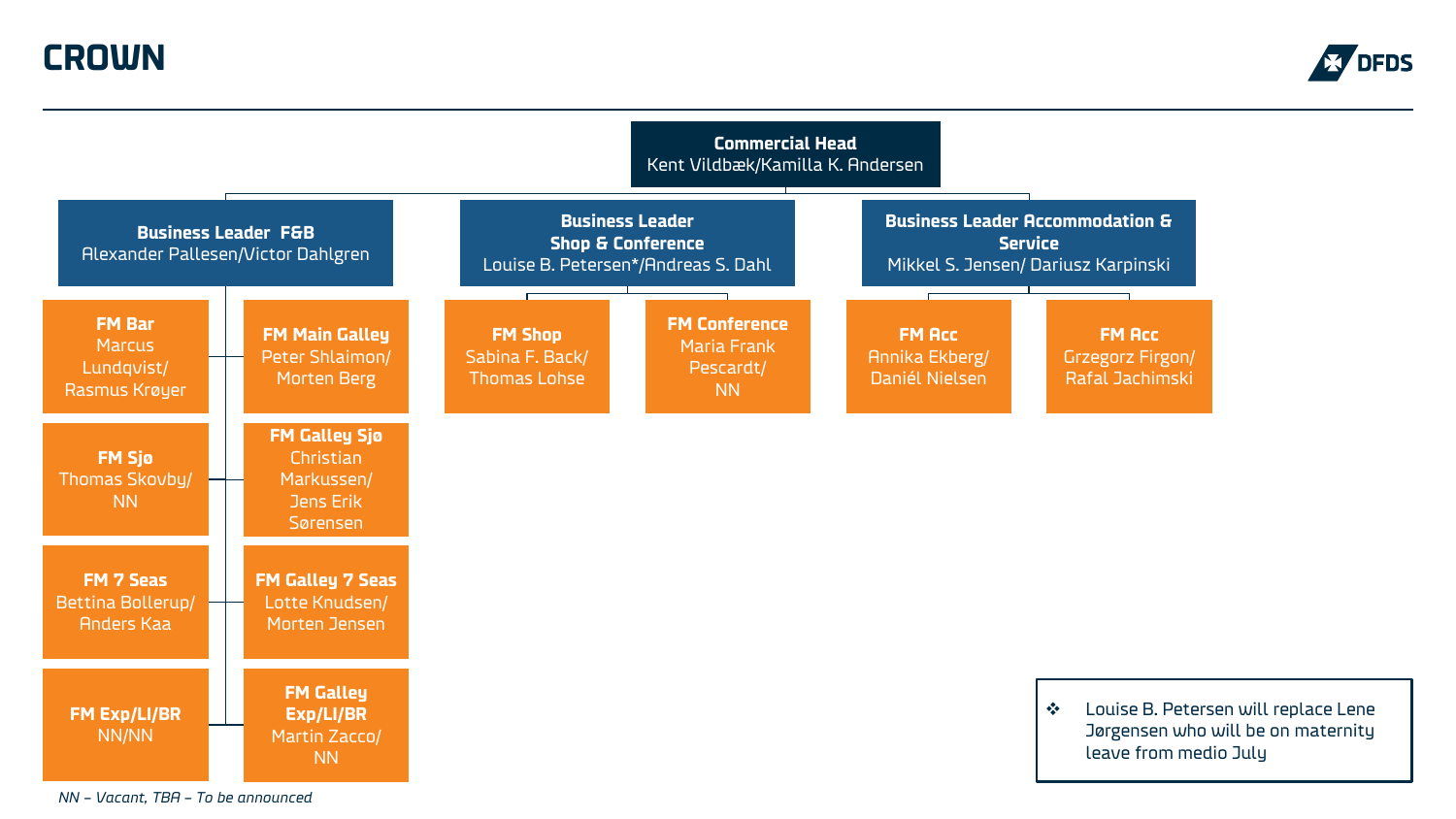**CROWN**





*NN – Vacant, TBA – To be announced*